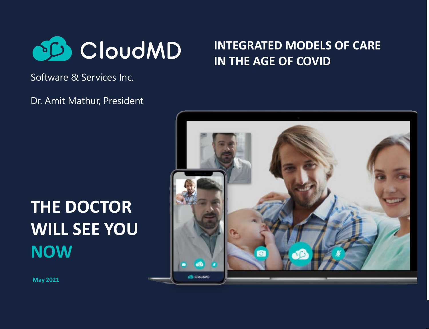

### **INTEGRATED MODELS OF CARE IN THE AGE OF COVID**

Software & Services Inc.

Dr. Amit Mathur, President

## **THE DOCTOR WILL SEE YOU NOW**



**May 2021**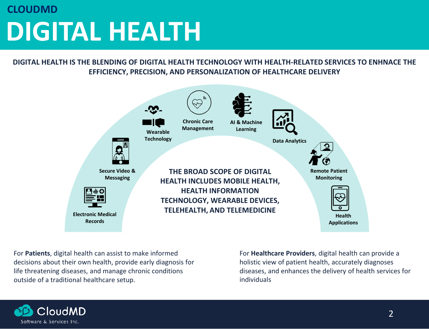## **DIGITAL HEALTH CLOUDMD**

**DIGITAL HEALTH IS THE BLENDING OF DIGITAL HEALTH TECHNOLOGY WITH HEALTH-RELATED SERVICES TO ENHNACE THE EFFICIENCY, PRECISION, AND PERSONALIZATION OF HEALTHCARE DELIVERY**



For **Patients**, digital health can assist to make informed decisions about their own health, provide early diagnosis for life threatening diseases, and manage chronic conditions outside of a traditional healthcare setup.

For **Healthcare Providers**, digital health can provide a holistic view of patient health, accurately diagnoses diseases, and enhances the delivery of health services for individuals

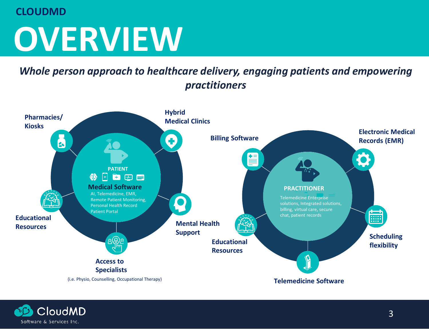#### **CLOUDMD**

# **OVERVIEW**

*Whole person approach to healthcare delivery, engaging patients and empowering practitioners*



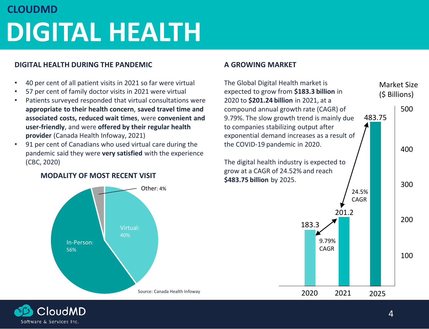## **DIGITAL HEALTH CLOUDMD**

#### **DIGITAL HEALTH DURING THE PANDEMIC**

- 40 per cent of all patient visits in 2021 so far were virtual
- 57 per cent of family doctor visits in 2021 were virtual
- Patients surveyed responded that virtual consultations were **appropriate to their health concern**, **saved travel time and associated costs, reduced wait times**, were **convenient and user-friendly**, and were **offered by their regular health provider** (Canada Health Infoway, 2021)
- 91 per cent of Canadians who used virtual care during the pandemic said they were **very satisfied** with the experience (CBC, 2020)



#### **MODALITY OF MOST RECENT VISIT**

#### **A GROWING MARKET**



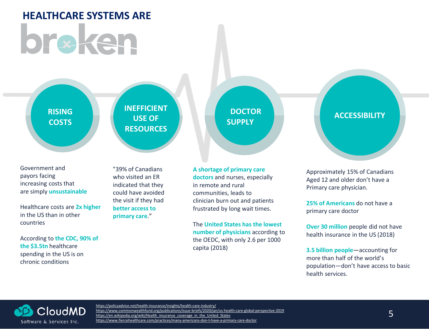# **HEALTHCARE SYSTEMS ARE** br#ken

**RISING COSTS** **INEFFICIENT USE OF RESOURCES**

Government and payors facing increasing costs that are simply **unsustainable** 

Healthcare costs are **2x higher**  in the US than in other countries

According to **the CDC, 90% of the \$3.5tn** healthcare spending in the US is on chronic conditions

"39% of Canadians who visited an ER indicated that they could have avoided the visit if they had **better access to primary care."** 

#### **A shortage of primary care**

**SUPPLY**

**doctors** and nurses, especially in remote and rural communities, leads to clinician burn out and patients frustrated by long wait times.

The **United States has the lowest number of physicians** according to the OEDC, with only 2.6 per 1000 capita (2018)

**ACCESSIBILITY** 

Approximately 15% of Canadians Aged 12 and older don't have a Primary care physician.

**25% of Americans** do not have a primary care doctor

**Over 30 million** people did not have health insurance in the US (2018)

**3.5 billion people**—accounting for more than half of the world's population—don't have access to basic health services.



<https://policyadvice.net/health-insurance/insights/health-care-industry/> <https://www.commonwealthfund.org/publications/issue-briefs/2020/jan/us-health-care-global-perspective-2019> [https://en.wikipedia.org/wiki/Health\\_insurance\\_coverage\\_in\\_the\\_United\\_States](https://en.wikipedia.org/wiki/Health_insurance_coverage_in_the_United_States) <https://www.fiercehealthcare.com/practices/many-americans-don-t-have-a-primary-care-doctor>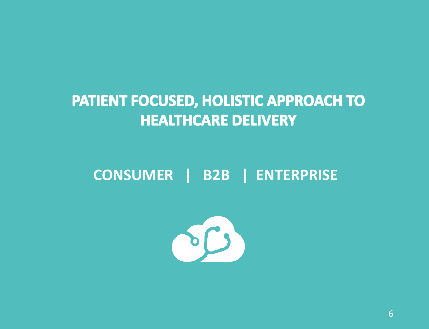## PATIENT FOCUSED, HOLISTIC APPROACH TO **HEALTHCARE DELIVERY**

## **CONSUMER | B2B | ENTERPRISE**



6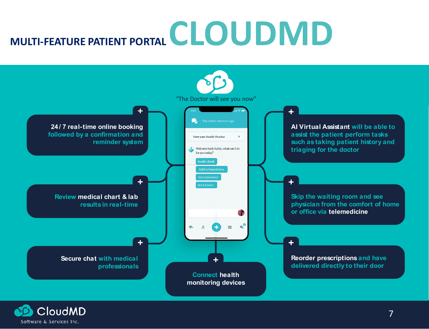# **MULTI-FEATURE PATIENT PORTAL CLOUDMD**



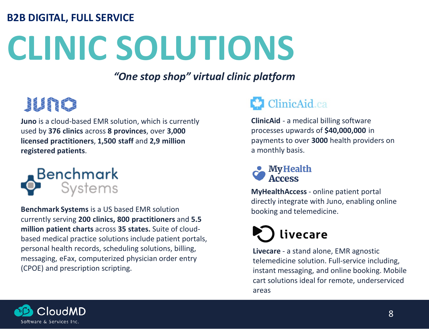### **B2B DIGITAL, FULL SERVICE**

# **CLINIC SOLUTIONS**

*"One stop shop" virtual clinic platform* 

## JUNO

**Juno** is a cloud-based EMR solution, which is currently used by **376 clinics** across **8 provinces**, over **3,000 licensed practitioners**, **1,500 staff** and **2,9 million registered patients**.



**Benchmark Systems** is a US based EMR solution currently serving **200 clinics, 800 practitioners** and **5.5 million patient charts** across **35 states.** Suite of cloudbased medical practice solutions include patient portals, personal health records, scheduling solutions, billing, messaging, eFax, computerized physician order entry (CPOE) and prescription scripting.

## **ClinicAid.ca**

**ClinicAid** - a medical billing software processes upwards of **\$40,000,000** in payments to over **3000** health providers on a monthly basis.



**MyHealthAccess** - online patient portal directly integrate with Juno, enabling online booking and telemedicine.

## livecare

**Livecare** - a stand alone, EMR agnostic telemedicine solution. Full-service including, instant messaging, and online booking. Mobile cart solutions ideal for remote, underserviced areas

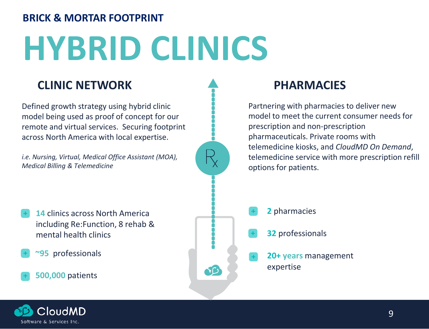### **BRICK & MORTAR FOOTPRINT**

# **HYBRID CLINICS**

### **CLINIC NETWORK PHARMACIES**

Defined growth strategy using hybrid clinic model being used as proof of concept for our remote and virtual services. Securing footprint across North America with local expertise.

*i.e. Nursing, Virtual, Medical Office Assistant (MOA), Medical Billing & Telemedicine*

- **14** clinics across North America including Re:Function, 8 rehab & mental health clinics
- **~95** professionals

#### **500,000** patients



Partnering with pharmacies to deliver new model to meet the current consumer needs for prescription and non-prescription pharmaceuticals. Private rooms with telemedicine kiosks, and *CloudMD On Demand*, telemedicine service with more prescription refill options for patients.

- **2** pharmacies
- **32** professionals
- **20+ years** management expertise

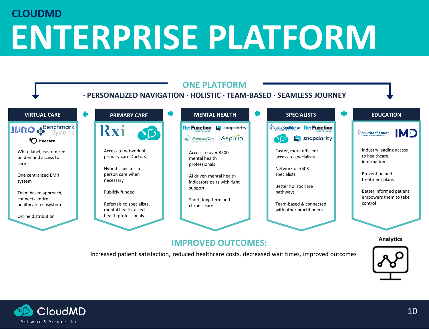## **ENTERPRISE PLATFORM CLOUDMD**



Increased patient satisfaction, reduced healthcare costs, decreased wait times, improved outcomes